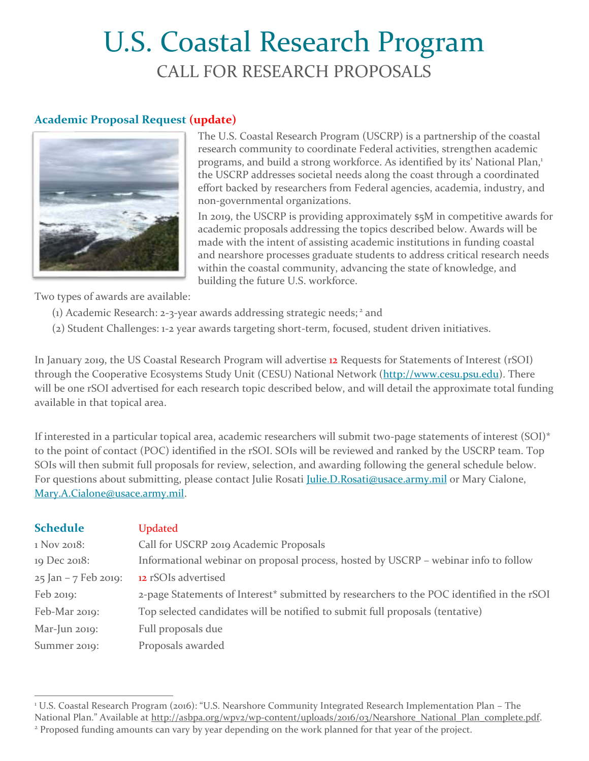# U.S. Coastal Research Program CALL FOR RESEARCH PROPOSALS

## **Academic Proposal Request (update)** u



The U.S. Coastal Research Program (USCRP) is a partnership of the coastal research community to coordinate Federal activities, strengthen academic programs, and build a strong workforce. As identified by its' National Plan,<sup>1</sup> the USCRP addresses societal needs along the coast through a coordinated effort backed by researchers from Federal agencies, academia, industry, and non-governmental organizations.

In 2019, the USCRP is providing approximately \$5M in competitive awards for academic proposals addressing the topics described below. Awards will be made with the intent of assisting academic institutions in funding coastal and nearshore processes graduate students to address critical research needs within the coastal community, advancing the state of knowledge, and building the future U.S. workforce.

Two types of awards are available:

 $\overline{a}$ 

- (1) Academic Research: 2-3-year awards addressing strategic needs; <sup>2</sup> and
- (2) Student Challenges: 1-2 year awards targeting short-term, focused, student driven initiatives.

In January 2019, the US Coastal Research Program will advertise 12 Requests for Statements of Interest (rSOI) through the Cooperative Ecosystems Study Unit (CESU) National Network [\(http://www.cesu.psu.edu\)](http://www.cesu.psu.edu/). There will be one rSOI advertised for each research topic described below, and will detail the approximate total funding available in that topical area.

If interested in a particular topical area, academic researchers will submit two-page statements of interest (SOI)\* to the point of contact (POC) identified in the rSOI. SOIs will be reviewed and ranked by the USCRP team. Top SOIs will then submit full proposals for review, selection, and awarding following the general schedule below. For questions about submitting, please contact Julie Rosati *Julie.D.Rosati@usace.army.mil* or Mary Cialone, [Mary.A.Cialone@usace.army.mil.](mailto:Mary.A.Cialone@usace.army.mil)

| <b>Schedule</b>        | <b>Updated</b>                                                                            |
|------------------------|-------------------------------------------------------------------------------------------|
| 1 Nov 2018:            | Call for USCRP 2019 Academic Proposals                                                    |
| 19 Dec 2018:           | Informational webinar on proposal process, hosted by USCRP – webinar info to follow       |
| $25$ Jan – 7 Feb 2019: | 12 rSOIs advertised                                                                       |
| Feb 2019:              | 2-page Statements of Interest* submitted by researchers to the POC identified in the rSOI |
| Feb-Mar 2019:          | Top selected candidates will be notified to submit full proposals (tentative)             |
| Mar-Jun 2019:          | Full proposals due                                                                        |
| Summer 2019:           | Proposals awarded                                                                         |

<sup>1</sup> U.S. Coastal Research Program (2016): "U.S. Nearshore Community Integrated Research Implementation Plan – The National Plan." Available at [http://asbpa.org/wpv2/wp-content/uploads/2016/03/Nearshore\\_National\\_Plan\\_complete.pdf.](http://asbpa.org/wpv2/wp-content/uploads/2016/03/Nearshore_National_Plan_complete.pdf)

<sup>&</sup>lt;sup>2</sup> Proposed funding amounts can vary by year depending on the work planned for that year of the project.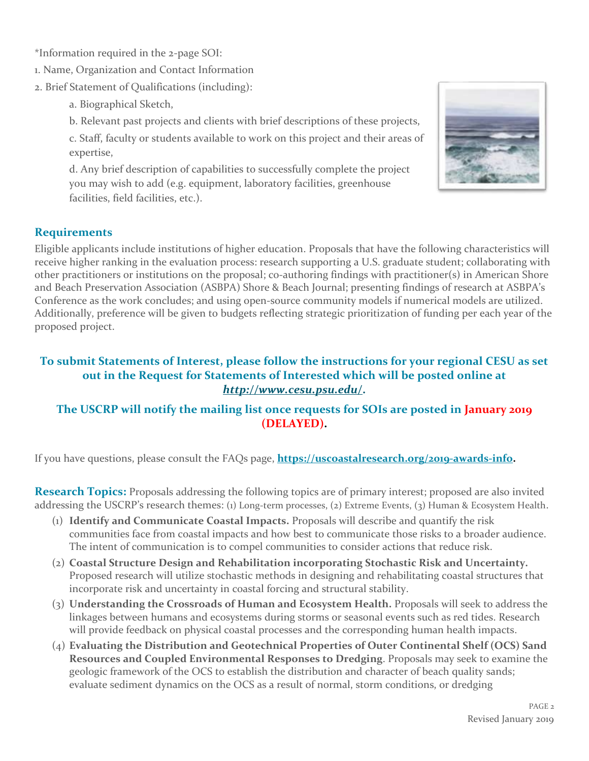\*Information required in the 2-page SOI:

- 1. Name, Organization and Contact Information
- 2. Brief Statement of Qualifications (including):
	- a. Biographical Sketch,
	- b. Relevant past projects and clients with brief descriptions of these projects,

c. Staff, faculty or students available to work on this project and their areas of expertise,

d. Any brief description of capabilities to successfully complete the project you may wish to add (e.g. equipment, laboratory facilities, greenhouse facilities, field facilities, etc.).



### **Requirements**

Eligible applicants include institutions of higher education. Proposals that have the following characteristics will receive higher ranking in the evaluation process: research supporting a U.S. graduate student; collaborating with other practitioners or institutions on the proposal; co-authoring findings with practitioner(s) in American Shore and Beach Preservation Association (ASBPA) Shore & Beach Journal; presenting findings of research at ASBPA's Conference as the work concludes; and using open-source community models if numerical models are utilized. Additionally, preference will be given to budgets reflecting strategic prioritization of funding per each year of the proposed project.

### **To submit Statements of Interest, please follow the instructions for your regional CESU as set out in the Request for Statements of Interested which will be posted online at** *<http://www.cesu.psu.edu/>***.**

### **The USCRP will notify the mailing list once requests for SOIs are posted in January 2019 (DELAYED).**

If you have questions, please consult the FAQs page, **[https://uscoastalresearch.org/2019-awards-info.](https://uscoastalresearch.org/2019-awards-info)** 

**Research Topics:** Proposals addressing the following topics are of primary interest; proposed are also invited addressing the USCRP's research themes: (1) Long-term processes, (2) Extreme Events, (3) Human & Ecosystem Health.

- (1) **Identify and Communicate Coastal Impacts.** Proposals will describe and quantify the risk communities face from coastal impacts and how best to communicate those risks to a broader audience. The intent of communication is to compel communities to consider actions that reduce risk.
- (2) **Coastal Structure Design and Rehabilitation incorporating Stochastic Risk and Uncertainty.** Proposed research will utilize stochastic methods in designing and rehabilitating coastal structures that incorporate risk and uncertainty in coastal forcing and structural stability.
- (3) **Understanding the Crossroads of Human and Ecosystem Health.** Proposals will seek to address the linkages between humans and ecosystems during storms or seasonal events such as red tides. Research will provide feedback on physical coastal processes and the corresponding human health impacts.
- (4) **Evaluating the Distribution and Geotechnical Properties of Outer Continental Shelf (OCS) Sand Resources and Coupled Environmental Responses to Dredging**. Proposals may seek to examine the geologic framework of the OCS to establish the distribution and character of beach quality sands; evaluate sediment dynamics on the OCS as a result of normal, storm conditions, or dredging